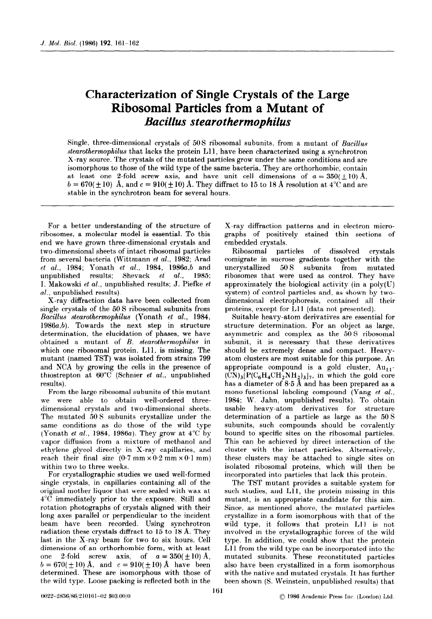## Characterization of Single Crystals of the Large Ribosomal Particles from a Mutant of Bacillus stearothermophilus

Single, three-dimensional crystals of 50S ribosomal subunits, from a mutant of Bacillus stearothermophilus that lacks the protein Lll, have been characterized using a synchrotron X-ray source. The crystals of the mutated particles grow under the same conditions and are isomorphous to those of the wild type of the same bacteria. They are orthorhombic, contain at least one 2-fold screw axis, and have unit cell dimensions of  $a = 350(\pm 10)$  Å,  $b = 670(\pm 10)$  Å, and  $c = 910(\pm 10)$  Å. They diffract to 15 to 18 Å resolution at 4<sup>o</sup>C and are stable in the synchrotron beam for several hours.

For a better understanding of the structure of ribosomes, a molecular model is essential. To this end we have grown three-dimensional crystals and two-dimensional sheets of intact ribosomal particles from several bacteria (Wittmann et al., 1982; Arad et al., 1984; Yonath et al., 1984, 1986a,b and unpublished results; Shevack  $et \ al.,$  1985; I. Makowski et al., unpublished results; J. Piefke et al., unpublished results).

X-ray diffraction data have been collected from single crystals of the 50 S ribosomal subunits from Bacillus stearothermophilus (Yonath et al., 1984, 1986a,b). Towards the next step in structure determination, the elucidation of phases, we have obtained a mutant of B. stearothermophilus in which one ribosomal protein, Lll, is missing. The mutant (named TST) was isolated from strains 799 and NCA by growing the cells in the presence of thiostrepton at  $60^{\circ}$ C (Schnier et al., unpublished results).

From the large ribosomal subunits of this mutant we were able to obtain well-ordered threedimensional crystals and two-dimensional sheets. The mutated 50 S subunits crystallize under the same conditions as do those of the wild type (Yonath et al., 1984, 1986a). They grow at  $4^{\circ}$ C by vapor diffusion from a mixture of methanol and ethylene glycol directly in X-ray capillaries, and reach their final size  $(0.7 \text{ mm} \times 0.2 \text{ mm} \times 0.1 \text{ mm})$ within two to three weeks.

For crystallographic studies we used well-formed single crystals, in capillaries containing all of the original mother liquor that were sealed with wax at 4°C immediately prior to the exposure. Still and rotation photographs of crystals aligned with their long axes parallel or perpendicular to the incident beam have been recorded. Using synchrotron radiation these crystals diffract to 15 to 18 A. They last in the X-ray beam for two to six hours. Cell dimensions of an orthorhombic form, with at least one 2-fold screw axis, of  $a = 350(\pm 10)$  Å,  $b = 670(\pm 10)$  Å, and  $c = 910(\pm 10)$  Å have been determined. These are isomorphous with those of the wild type. Loose packing is reflected both in the X-ray diffraction patterns and in electron micrographs of positively stained thin sections of embedded crystals.

Ribosomal particles of dissolved crystals comigrate in sucrose gradients together with the uncrystallized 50 S subunits from mutated ribosomes that were used as control. They have approximately the biological activity (in a poly(U) system) of control particles and, as shown by twodimensional electrophoresis, contained all their proteins, except for L11 (data not presented).

Suitable heavy-atom derivatives are essential for structure determination. For an object as large, asymmetric and complex as the 50 S ribosomal subunit, it is necessary that these derivatives should be extremely dense and compact. Heavyatom clusters are most suitable for this purpose. An appropriate compound is a gold cluster,  $Au_{11}$ - $\overline{(CN)}_3\overline{[P(C_6H_4CH_2NH_2)_3]}$ , in which the gold core has a diameter of 8.5 A and has been prepared as a mono-functional labeling compound (Yang et al., 1984; W. Jahn, unpublished results). To obtain usable heavy-atom derivatives for structure determination of a particle as large as the 50 S subunits, such compounds should be covalently bound to specific sites on the ribosomal particles. This can be achieved by direct interaction of the cluster with the intact particles. Alternatively, these clusters may be attached to single sites on isolated ribosomal proteins, which will then be incorporated into particles that lack this protein.

The TST mutant provides a suitable system for such studies, and Lll, the protein missing in this mutant, is an appropriate candidate for this aim. Since, as mentioned above, the mutated particles crystallize in a form isomorphous with that of the wild type, it follows that protein Lll is not involved in the crystallographic forces of the wild type. In addition, we could show that the protein L11 from the wild type can be incorporated into the mutated subunits, These reconstituted particles also have been crystallized in a form isomorphous with the native and mutated crystals. It has further been shown (S. Weinstein, unpublished results) that